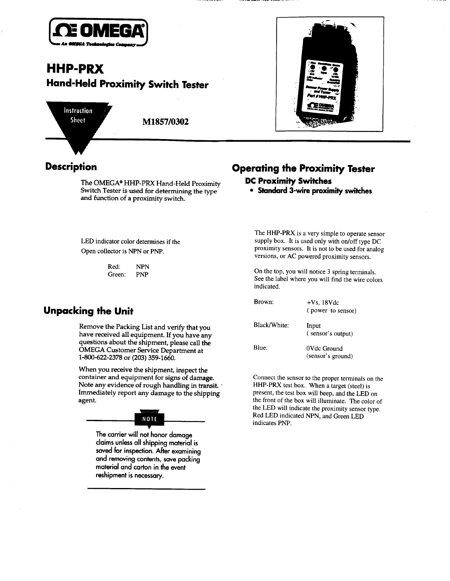

# **HHP-PRX** Hand-Held Proximity Switch Tester

Instruction **Sheet** 

M1857/0302



and function of a proximity switch. The OMEGA<sup>®</sup> HHP-PRX Hand-Held Proximity Switch Tester is used for determining the type

LED indicator color determines if the Open collector is NPN or PNP.

> Red: NPN Green: PNP

### Unpacking the Unit

**Remove the Packing List and verify that you have received all equipment. If you have any questions about the shipment, please call the OMEGA Customer Service Department at l-800-622-2378 or (203) 359-1660.**

**Immediately report any damage to the shipping agent. When you receive the shipment, inspect the container and equipment for signs of damage. Note any evidence of rough handling in transit.** 

# NOTE

**The carrier will not honor damage claims unless all shipping material is saved for inspection. After examining and removing contents, save packing material and carton in the event reshipment is necessary.**

# Description Operating the Proximity Tester

### DC Proximity **Switches**

**proximity switches ~-wire** ?? **Standard** 

 $T$  is a very simple to operate sensor simple to operate sensor sensor sensor sensor sensor sensor sensor sensor sensor sensor sensor sensor sensor sensor sensor sensor sensor sensor sensor sensor sensor sensor sensor sen  $\frac{1}{2}$  is a very simple to operate sensor supply box. It is used only with on/off type DC proximity sensors. It is not to be used for analog versions, or AC powered proximity sensors.

On the top, you will notice 3 spring terminals.  $\mu$  are top, you will notice  $\sigma$  spring terminals. See the label where you will find the wire colors indicated.

| Brown:       | $+Vs$ , 18Vdc<br>(power to sensor) |
|--------------|------------------------------------|
| Black/White: | Input<br>(sensor's output)         |
| Blue:        | 0Vdc Ground<br>(sensor's ground)   |

Connect the sensor to the proper terminals on the  $\mu_{\text{F}}$ -proper terminals on  $HHP-PRX$  test box. When a target (steel) is present, the test box will beep, and the LED on the front of the box will illuminate. The color of the LED will indicate the proximity sensor type. Red LED indicated NPN, and Green LED<br>indicates PNP.